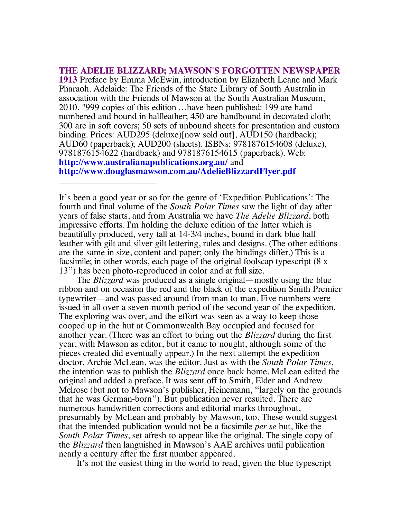**THE ADELIE BLIZZARD; MAWSON'S FORGOTTEN NEWSPAPER 1913** Preface by Emma McEwin, introduction by Elizabeth Leane and Mark Pharaoh. Adelaide: The Friends of the State Library of South Australia in association with the Friends of Mawson at the South Australian Museum, 2010. "999 copies of this edition …have been published: 199 are hand numbered and bound in halfleather; 450 are handbound in decorated cloth; 300 are in soft covers; 50 sets of unbound sheets for presentation and custom binding. Prices: AUD295 (deluxe)[now sold out], AUD150 (hardback); AUD60 (paperback); AUD200 (sheets). ISBNs: 9781876154608 (deluxe), 9781876154622 (hardback) and 9781876154615 (paperback). Web: **http://www.australianapublications.org.au/** and **http://www.douglasmawson.com.au/AdelieBlizzardFlyer.pdf**

It's been a good year or so for the genre of 'Expedition Publications': The fourth and final volume of the *South Polar Times* saw the light of day after years of false starts, and from Australia we have *The Adelie Blizzard*, both impressive efforts. I'm holding the deluxe edition of the latter which is beautifully produced, very tall at 14-3/4 inches, bound in dark blue half leather with gilt and silver gilt lettering, rules and designs. (The other editions are the same in size, content and paper; only the bindings differ.) This is a facsimile; in other words, each page of the original foolscap typescript (8 x 13") has been photo-reproduced in color and at full size.

\_\_\_\_\_\_\_\_\_\_\_\_\_\_\_\_\_\_\_\_\_\_\_\_\_

The *Blizzard* was produced as a single original—mostly using the blue ribbon and on occasion the red and the black of the expedition Smith Premier typewriter—and was passed around from man to man. Five numbers were issued in all over a seven-month period of the second year of the expedition. The exploring was over, and the effort was seen as a way to keep those cooped up in the hut at Commonwealth Bay occupied and focused for another year. (There was an effort to bring out the *Blizzard* during the first year, with Mawson as editor, but it came to nought, although some of the pieces created did eventually appear.) In the next attempt the expedition doctor, Archie McLean, was the editor. Just as with the *South Polar Times*, the intention was to publish the *Blizzard* once back home. McLean edited the original and added a preface. It was sent off to Smith, Elder and Andrew Melrose (but not to Mawson's publisher, Heinemann, "largely on the grounds that he was German-born"). But publication never resulted. There are numerous handwritten corrections and editorial marks throughout, presumably by McLean and probably by Mawson, too. These would suggest that the intended publication would not be a facsimile *per se* but, like the *South Polar Times*, set afresh to appear like the original. The single copy of the *Blizzard* then languished in Mawson's AAE archives until publication nearly a century after the first number appeared.

It's not the easiest thing in the world to read, given the blue typescript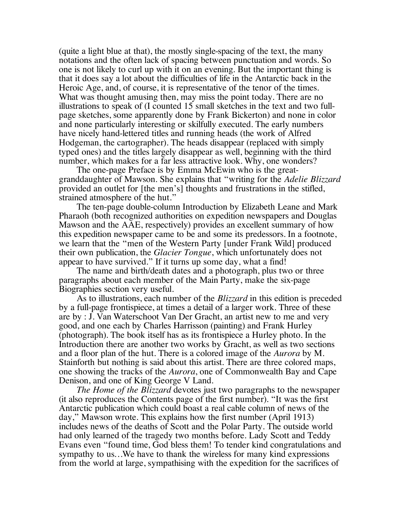(quite a light blue at that), the mostly single-spacing of the text, the many notations and the often lack of spacing between punctuation and words. So one is not likely to curl up with it on an evening. But the important thing is that it does say a lot about the difficulties of life in the Antarctic back in the Heroic Age, and, of course, it is representative of the tenor of the times. What was thought amusing then, may miss the point today. There are no illustrations to speak of (I counted 15 small sketches in the text and two fullpage sketches, some apparently done by Frank Bickerton) and none in color and none particularly interesting or skilfully executed. The early numbers have nicely hand-lettered titles and running heads (the work of Alfred Hodgeman, the cartographer). The heads disappear (replaced with simply typed ones) and the titles largely disappear as well, beginning with the third number, which makes for a far less attractive look. Why, one wonders?

The one-page Preface is by Emma McEwin who is the greatgranddaughter of Mawson. She explains that "writing for the *Adelie Blizzard* provided an outlet for [the men's] thoughts and frustrations in the stifled, strained atmosphere of the hut."

The ten-page double-column Introduction by Elizabeth Leane and Mark Pharaoh (both recognized authorities on expedition newspapers and Douglas Mawson and the AAE, respectively) provides an excellent summary of how this expedition newspaper came to be and some its predessors. In a footnote, we learn that the "men of the Western Party [under Frank Wild] produced their own publication, the *Glacier Tongue*, which unfortunately does not appear to have survived." If it turns up some day, what a find!

The name and birth/death dates and a photograph, plus two or three paragraphs about each member of the Main Party, make the six-page Biographies section very useful.

As to illustrations, each number of the *Blizzard* in this edition is preceded by a full-page frontispiece, at times a detail of a larger work. Three of these are by : J. Van Waterschoot Van Der Gracht, an artist new to me and very good, and one each by Charles Harrisson (painting) and Frank Hurley (photograph). The book itself has as its frontispiece a Hurley photo. In the Introduction there are another two works by Gracht, as well as two sections and a floor plan of the hut. There is a colored image of the *Aurora* by M. Stainforth but nothing is said about this artist. There are three colored maps, one showing the tracks of the *Aurora*, one of Commonwealth Bay and Cape Denison, and one of King George V Land.

*The Home of the Blizzard* devotes just two paragraphs to the newspaper (it also reproduces the Contents page of the first number). "It was the first Antarctic publication which could boast a real cable column of news of the day," Mawson wrote. This explains how the first number (April 1913) includes news of the deaths of Scott and the Polar Party. The outside world had only learned of the tragedy two months before. Lady Scott and Teddy Evans even "found time, God bless them! To tender kind congratulations and sympathy to us…We have to thank the wireless for many kind expressions from the world at large, sympathising with the expedition for the sacrifices of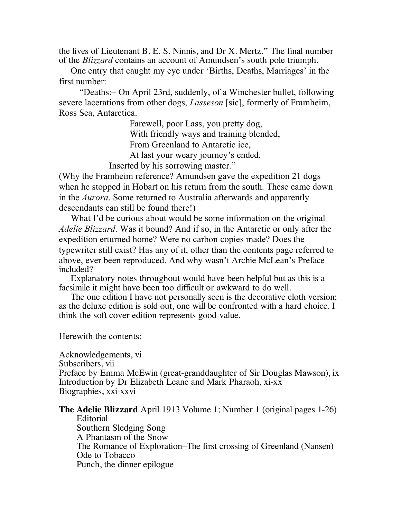the lives of Lieutenant B. E. S. Ninnis, and Dr X. Mertz." The final number of the *Blizzard* contains an account of Amundsen's south pole triumph.

One entry that caught my eye under 'Births, Deaths, Marriages' in the first number:

"Deaths:– On April 23rd, suddenly, of a Winchester bullet, following severe lacerations from other dogs, *Lasseson* [sic], formerly of Framheim, Ross Sea, Antarctica.

> Farewell, poor Lass, you pretty dog, With friendly ways and training blended, From Greenland to Antarctic ice,

At last your weary journey's ended.

Inserted by his sorrowing master."

(Why the Framheim reference? Amundsen gave the expedition 21 dogs when he stopped in Hobart on his return from the south. These came down in the *Aurora*. Some returned to Australia afterwards and apparently descendants can still be found there!)

What I'd be curious about would be some information on the original *Adelie Blizzard*. Was it bound? And if so, in the Antarctic or only after the expedition erturned home? Were no carbon copies made? Does the typewriter still exist? Has any of it, other than the contents page referred to above, ever been reproduced. And why wasn't Archie McLean's Preface included?

Explanatory notes throughout would have been helpful but as this is a facsimile it might have been too difficult or awkward to do well.

The one edition I have not personally seen is the decorative cloth version; as the deluxe edition is sold out, one will be confronted with a hard choice. I think the soft cover edition represents good value.

Herewith the contents:–

Acknowledgements, vi Subscribers, vii Preface by Emma McEwin (great-granddaughter of Sir Douglas Mawson), ix Introduction by Dr Elizabeth Leane and Mark Pharaoh, xi-xx Biographies, xxi-xxvi

**The Adelie Blizzard** April 1913 Volume 1; Number 1 (original pages 1-26)

Editorial Southern Sledging Song A Phantasm of the Snow The Romance of Exploration–The first crossing of Greenland (Nansen) Ode to Tobacco Punch, the dinner epilogue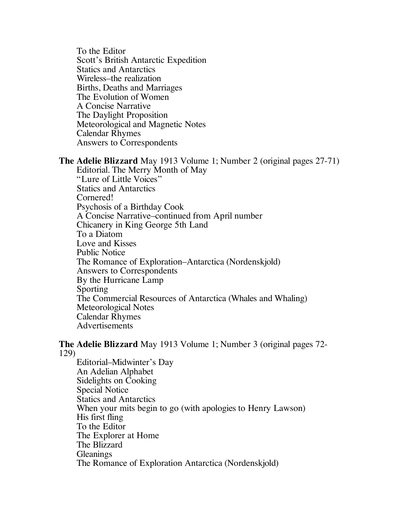To the Editor Scott's British Antarctic Expedition Statics and Antarctics Wireless–the realization Births, Deaths and Marriages The Evolution of Women A Concise Narrative The Daylight Proposition Meteorological and Magnetic Notes Calendar Rhymes Answers to Correspondents

## **The Adelie Blizzard** May 1913 Volume 1; Number 2 (original pages 27-71)

Editorial. The Merry Month of May "Lure of Little Voices" Statics and Antarctics Cornered! Psychosis of a Birthday Cook A Concise Narrative–continued from April number Chicanery in King George 5th Land To a Diatom Love and Kisses Public Notice The Romance of Exploration–Antarctica (Nordenskjold) Answers to Correspondents By the Hurricane Lamp Sporting The Commercial Resources of Antarctica (Whales and Whaling) Meteorological Notes Calendar Rhymes Advertisements

## **The Adelie Blizzard** May 1913 Volume 1; Number 3 (original pages 72- 129)

Editorial–Midwinter's Day An Adelian Alphabet Sidelights on Cooking Special Notice Statics and Antarctics When your mits begin to go (with apologies to Henry Lawson) His first fling To the Editor The Explorer at Home The Blizzard **Gleanings** The Romance of Exploration Antarctica (Nordenskjold)